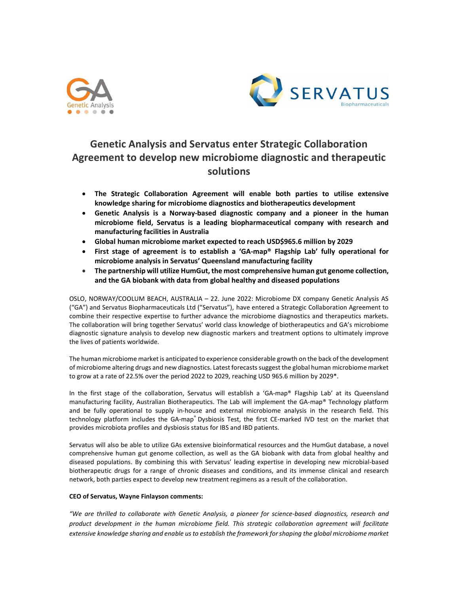



# Genetic Analysis and Servatus enter Strategic Collaboration Agreement to develop new microbiome diagnostic and therapeutic solutions

- The Strategic Collaboration Agreement will enable both parties to utilise extensive knowledge sharing for microbiome diagnostics and biotherapeutics development
- Genetic Analysis is a Norway-based diagnostic company and a pioneer in the human microbiome field, Servatus is a leading biopharmaceutical company with research and manufacturing facilities in Australia
- Global human microbiome market expected to reach USD\$965.6 million by 2029
- First stage of agreement is to establish a 'GA-map® Flagship Lab' fully operational for microbiome analysis in Servatus' Queensland manufacturing facility
- The partnership will utilize HumGut, the most comprehensive human gut genome collection, and the GA biobank with data from global healthy and diseased populations

OSLO, NORWAY/COOLUM BEACH, AUSTRALIA – 22. June 2022: Microbiome DX company Genetic Analysis AS ("GA") and Servatus Biopharmaceuticals Ltd ("Servatus"), have entered a Strategic Collaboration Agreement to combine their respective expertise to further advance the microbiome diagnostics and therapeutics markets. The collaboration will bring together Servatus' world class knowledge of biotherapeutics and GA's microbiome diagnostic signature analysis to develop new diagnostic markers and treatment options to ultimately improve the lives of patients worldwide.

The human microbiome market is anticipated to experience considerable growth on the back of the development of microbiome altering drugs and new diagnostics. Latest forecasts suggest the global human microbiome market to grow at a rate of 22.5% over the period 2022 to 2029, reaching USD 965.6 million by 2029\*.

In the first stage of the collaboration, Servatus will establish a 'GA-map® Flagship Lab' at its Queensland manufacturing facility, Australian Biotherapeutics. The Lab will implement the GA-map® Technology platform and be fully operational to supply in-house and external microbiome analysis in the research field. This technology platform includes the GA-map® Dysbiosis Test, the first CE-marked IVD test on the market that provides microbiota profiles and dysbiosis status for IBS and IBD patients.

Servatus will also be able to utilize GAs extensive bioinformatical resources and the HumGut database, a novel comprehensive human gut genome collection, as well as the GA biobank with data from global healthy and diseased populations. By combining this with Servatus' leading expertise in developing new microbial-based biotherapeutic drugs for a range of chronic diseases and conditions, and its immense clinical and research network, both parties expect to develop new treatment regimens as a result of the collaboration.

## CEO of Servatus, Wayne Finlayson comments:

"We are thrilled to collaborate with Genetic Analysis, a pioneer for science-based diagnostics, research and product development in the human microbiome field. This strategic collaboration agreement will facilitate extensive knowledge sharing and enable us to establish the framework for shaping the global microbiome market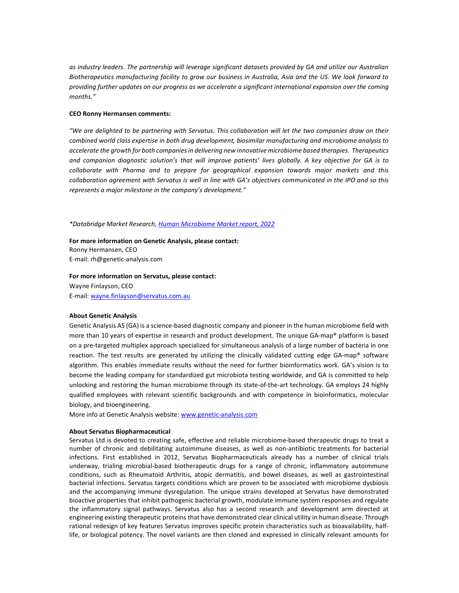as industry leaders. The partnership will leverage significant datasets provided by GA and utilize our Australian Biotherapeutics manufacturing facility to grow our business in Australia, Asia and the US. We look forward to providing further updates on our progress as we accelerate a significant international expansion over the coming months."

#### CEO Ronny Hermansen comments:

"We are delighted to be partnering with Servatus. This collaboration will let the two companies draw on their combined world class expertise in both drug development, biosimilar manufacturing and microbiome analysis to accelerate the growth for both companies in delivering new innovative microbiome based therapies. Therapeutics and companion diagnostic solution's that will improve patients' lives globally. A key objective for GA is to collaborate with Pharma and to prepare for geographical expansion towards major markets and this collaboration agreement with Servatus is well in line with GA's objectives communicated in the IPO and so this represents a major milestone in the company's development."

## \*Databridge Market Research, Human Microbiome Market report, 2022

For more information on Genetic Analysis, please contact: Ronny Hermansen, CEO E-mail: rh@genetic-analysis.com

### For more information on Servatus, please contact:

Wayne Finlayson, CEO E-mail: wayne.finlayson@servatus.com.au

## About Genetic Analysis

Genetic Analysis AS (GA) is a science-based diagnostic company and pioneer in the human microbiome field with more than 10 years of expertise in research and product development. The unique GA-map® platform is based on a pre-targeted multiplex approach specialized for simultaneous analysis of a large number of bacteria in one reaction. The test results are generated by utilizing the clinically validated cutting edge GA-map® software algorithm. This enables immediate results without the need for further bioinformatics work. GA's vision is to become the leading company for standardized gut microbiota testing worldwide, and GA is committed to help unlocking and restoring the human microbiome through its state-of-the-art technology. GA employs 24 highly qualified employees with relevant scientific backgrounds and with competence in bioinformatics, molecular biology, and bioengineering.

More info at Genetic Analysis website: www.genetic-analysis.com

#### About Servatus Biopharmaceutical

Servatus Ltd is devoted to creating safe, effective and reliable microbiome-based therapeutic drugs to treat a number of chronic and debilitating autoimmune diseases, as well as non-antibiotic treatments for bacterial infections. First established in 2012, Servatus Biopharmaceuticals already has a number of clinical trials underway, trialing microbial-based biotherapeutic drugs for a range of chronic, inflammatory autoimmune conditions, such as Rheumatoid Arthritis, atopic dermatitis, and bowel diseases, as well as gastrointestinal bacterial infections. Servatus targets conditions which are proven to be associated with microbiome dysbiosis and the accompanying immune dysregulation. The unique strains developed at Servatus have demonstrated bioactive properties that inhibit pathogenic bacterial growth, modulate immune system responses and regulate the inflammatory signal pathways. Servatus also has a second research and development arm directed at engineering existing therapeutic proteins that have demonstrated clear clinical utility in human disease. Through rational redesign of key features Servatus improves specific protein characteristics such as bioavailability, halflife, or biological potency. The novel variants are then cloned and expressed in clinically relevant amounts for